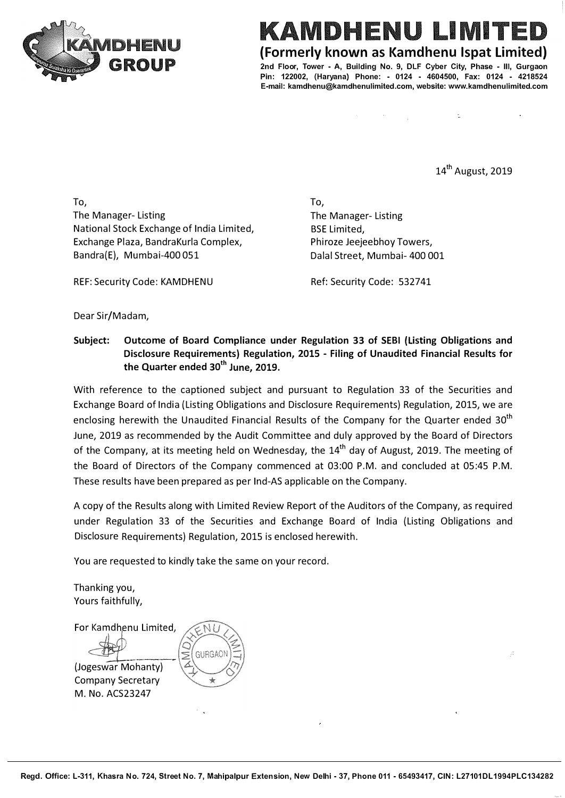

## KAMDHENU LIMIT

**{Formerly known as Kamdhenu lspat limited)** 

**2nd Floor, Tower - A, Building No. 9, DLF Cyber City, Phase - Ill, Gurgaon Pin: 122002, (Haryana) Phone: - 0124 - 4604500, Fax: 0124 - 4218524 E-mail: kamdhenu@kamdhenulimited.com, website: www.kamdhenulimited.com**

14<sup>th</sup> August, 2019

To, The Manager- Listing National Stock Exchange of India Limited, Exchange Plaza, BandraKurla Complex, Bandra{E), Mumbai-400 051

REF: Security Code: KAMDHENU

To, The Manager- Listing BSE Limited, Phiroze Jeejeebhoy Towers, Dalal Street, Mumbai- 400 001

Ref: Security Code: 532741

Dear Sir/Madam,

**Subject: Outcome of Board Compliance under Regulation 33 of SEBI (Listing Obligations and Disclosure Requirements) Regulation, 2015 - Filing of Unaudited Financial Results for the Quarter ended 30th June, 2019.**

With reference to the captioned subject and pursuant to Regulation 33 of the Securities and Exchange Board of India {Listing Obligations and Disclosure Requirements) Regulation, 2015, we are enclosing herewith the Unaudited Financial Results of the Company for the Quarter ended 30<sup>th</sup> June, 2019 as recommended by the Audit Committee and duly approved by the Board of Directors of the Company, at its meeting held on Wednesday, the  $14<sup>th</sup>$  day of August, 2019. The meeting of the Board of Directors of the Company commenced at 03:00 P.M. and concluded at 05:45 P.M. These results have been prepared as per Ind-AS applicable on the Company.

A copy of the Results along with Limited Review Report of the Auditors of the Company, as required under Regulation 33 of the Securities and Exchange Board of India {Listing Obligations and Disclosure Requirements) Regulation, 2015 is enclosed herewith.

You are requested to kindly take the same on your record.

Thanking you, Yours faithfully,

For Kamdhenu Limited. GURGAO<sup>®</sup> (Jogeswar Mohanty) Company Secretary M. No. ACS23247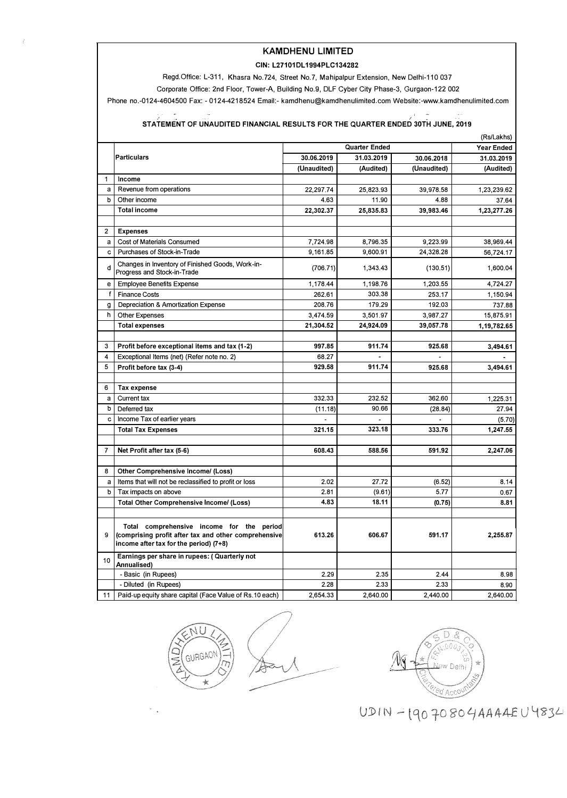### **KAMDHENU LIMITED**

#### **CIN:** L27101 DL 1994PLC134282

Regd.Office: L-311, Khasra No.724, Street No.7, Mahipalpur Extension, New Delhi-110 037

Corporate Office: 2nd Floor, Tower-A, Building No.9, DLF Cyber City Phase-3, Gurgaon-122 002

Phone no.-0124-4604500 Fax: - 0124-4218524 Email:- kamdhenu@kamdhenulimited.com Website:-www.kamdhenulimited.com

### **-**<br>1919 - STATEMENT OF UNAUDITED FINANCIAL RESULTS FOR THE QUARTER ENDED 30TH JUNE, 2019

|              | (Rs/Lakhs)                                                                                                                                  |             |                   |             |             |  |  |  |
|--------------|---------------------------------------------------------------------------------------------------------------------------------------------|-------------|-------------------|-------------|-------------|--|--|--|
|              |                                                                                                                                             |             | <b>Year Ended</b> |             |             |  |  |  |
|              | <b>Particulars</b>                                                                                                                          | 30.06.2019  | 31.03.2019        | 30.06.2018  | 31.03.2019  |  |  |  |
|              |                                                                                                                                             | (Unaudited) | (Audited)         | (Unaudited) | (Audited)   |  |  |  |
| $\mathbf{1}$ | Income                                                                                                                                      |             |                   |             |             |  |  |  |
| a            | Revenue from operations                                                                                                                     | 22,297.74   | 25,823.93         | 39,978.58   | 1,23,239.62 |  |  |  |
| b            | Other income                                                                                                                                | 4.63        | 11.90             | 4.88        | 37.64       |  |  |  |
|              | <b>Total income</b>                                                                                                                         | 22,302.37   | 25,835.83         | 39,983.46   | 1,23,277.26 |  |  |  |
|              |                                                                                                                                             |             |                   |             |             |  |  |  |
| 2            | <b>Expenses</b>                                                                                                                             |             |                   |             |             |  |  |  |
| a            | Cost of Materials Consumed                                                                                                                  | 7,724.98    | 8,796.35          | 9,223.99    | 38,969.44   |  |  |  |
| c.           | Purchases of Stock-in-Trade                                                                                                                 | 9.161.85    | 9.600.91          | 24,328.28   | 56,724.17   |  |  |  |
| d            | Changes in Inventory of Finished Goods, Work-in-<br>Progress and Stock-in-Trade                                                             | (706.71)    | 1,343.43          | (130.51)    | 1,600.04    |  |  |  |
| e            | <b>Employee Benefits Expense</b>                                                                                                            | 1,178.44    | 1,198.76          | 1,203.55    | 4,724.27    |  |  |  |
| f            | <b>Finance Costs</b>                                                                                                                        | 262.61      | 303,38            | 253.17      | 1,150.94    |  |  |  |
| g            | Depreciation & Amortization Expense                                                                                                         | 208.76      | 179.29            | 192.03      | 737,88      |  |  |  |
| h            | <b>Other Expenses</b>                                                                                                                       | 3,474.59    | 3,501.97          | 3,987.27    | 15,875.91   |  |  |  |
|              | <b>Total expenses</b>                                                                                                                       | 21,304.52   | 24,924.09         | 39,057.78   | 1,19,782.65 |  |  |  |
|              |                                                                                                                                             |             |                   |             |             |  |  |  |
| 3            | Profit before exceptional items and tax (1-2)                                                                                               | 997,85      | 911.74            | 925.68      | 3,494.61    |  |  |  |
| 4            | Exceptional Items (net) (Refer note no. 2)                                                                                                  | 68.27       |                   |             |             |  |  |  |
| 5            | Profit before tax (3-4)                                                                                                                     | 929.58      | 911.74            | 925.68      | 3,494.61    |  |  |  |
|              |                                                                                                                                             |             |                   |             |             |  |  |  |
| 6            | Tax expense                                                                                                                                 |             |                   |             |             |  |  |  |
| a            | Current tax                                                                                                                                 | 332.33      | 232.52            | 362.60      | 1,225.31    |  |  |  |
| b            | Deferred tax                                                                                                                                | (11.18)     | 90.66             | (28.84)     | 27.94       |  |  |  |
| с            | Income Tax of earlier years                                                                                                                 |             |                   |             | (5.70)      |  |  |  |
|              | <b>Total Tax Expenses</b>                                                                                                                   | 321.15      | 323.18            | 333.76      | 1,247.55    |  |  |  |
|              |                                                                                                                                             |             |                   |             |             |  |  |  |
| 7            | Net Profit after tax (5-6)                                                                                                                  | 608.43      | 588.56            | 591.92      | 2,247.06    |  |  |  |
|              |                                                                                                                                             |             |                   |             |             |  |  |  |
| 8            | Other Comprehensive Income/ (Loss)                                                                                                          |             |                   |             |             |  |  |  |
| a            | Items that will not be reclassified to profit or loss                                                                                       | 2.02        | 27.72             | (6.52)      | 8,14        |  |  |  |
| b            | Tax impacts on above                                                                                                                        | 2.81        | (9.61)            | 5.77        | 0.67        |  |  |  |
|              | Total Other Comprehensive Income/ (Loss)                                                                                                    | 4.83        | 18.11             | (0.75)      | 8.81        |  |  |  |
|              |                                                                                                                                             |             |                   |             |             |  |  |  |
| 9            | Total comprehensive income for the period<br>(comprising profit after tax and other comprehensive<br>income after tax for the period) (7+8) | 613.26      | 606,67            | 591.17      | 2,255.87    |  |  |  |
| 10           | Earnings per share in rupees: (Quarterly not<br>Annualised)                                                                                 |             |                   |             |             |  |  |  |
|              | - Basic (in Rupees)                                                                                                                         | 2.29        | 2.35              | 2.44        | 8.98        |  |  |  |
|              | - Diluted (in Rupees)                                                                                                                       | 2.28        | 2.33              | 2.33        | 8.90        |  |  |  |
| 11           | Paid-up equity share capital (Face Value of Rs.10 each)                                                                                     | 2,654.33    | 2,640.00          | 2,440.00    | 2,640.00    |  |  |  |



 $\ddot{\phantom{a}}$ 



 $UDIN - 19070804AAABU4834$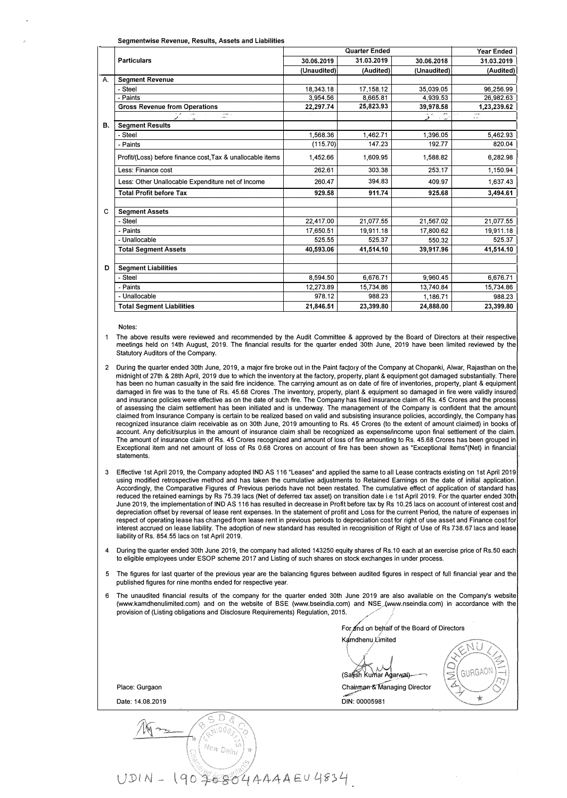|    |                                                            |             | Year Ended                  |                         |             |
|----|------------------------------------------------------------|-------------|-----------------------------|-------------------------|-------------|
|    | <b>Particulars</b>                                         | 30.06.2019  | Quarter Ended<br>31.03.2019 | 30.06.2018              | 31.03.2019  |
|    |                                                            | (Unaudited) | (Audited)                   | (Unaudited)             | (Audited)   |
| A. | <b>Segment Revenue</b>                                     |             |                             |                         |             |
|    | - Steel                                                    | 18,343.18   | 17.158.12                   | 35.039.05               | 96,256.99   |
|    | - Paints                                                   | 3.954.56    | 8.665.81                    | 4.939.53                | 26.982.63   |
|    | <b>Gross Revenue from Operations</b>                       | 22.297.74   | 25,823.93                   | 39,978.58               | 1,23,239.62 |
|    | المستدر المحر                                              |             |                             | $\mathbf{r}_\mathrm{c}$ | ÷÷.         |
| В. | <b>Segment Results</b>                                     |             |                             |                         |             |
|    | - Steel                                                    | 1,568.36    | 1,462.71                    | 1.396.05                | 5,462.93    |
|    | - Paints                                                   | (115.70)    | 147.23                      | 192.77                  | 820.04      |
|    | Profit/(Loss) before finance cost, Tax & unallocable items | 1,452.66    | 1,609.95                    | 1,588.82                | 6,282.98    |
|    | Less: Finance cost                                         | 262.61      | 303.38                      | 253.17                  | 1,150.94    |
|    | Less: Other Unallocable Expenditure net of Income          | 260.47      | 394.83                      | 409.97                  | 1,637.43    |
|    | <b>Total Profit before Tax</b>                             | 929.58      | 911.74                      | 925.68                  | 3,494.61    |
| C  | <b>Segment Assets</b>                                      |             |                             |                         |             |
|    | - Steel                                                    | 22,417.00   | 21.077.55                   | 21,567.02               | 21,077.55   |
|    | - Paints                                                   | 17,650.51   | 19,911.18                   | 17,800.62               | 19,911.18   |
|    | - Unallocable                                              | 525.55      | 525.37                      | 550.32                  | 525.37      |
|    | <b>Total Segment Assets</b>                                | 40,593.06   | 41,514.10                   | 39,917.96               | 41,514.10   |
|    |                                                            |             |                             |                         |             |
| D  | <b>Seament Liabilities</b>                                 |             |                             |                         |             |
|    | - Steel                                                    | 8,594.50    | 6,676.71                    | 9,960.45                | 6,676.71    |
|    | - Paints                                                   | 12.273.89   | 15.734.86                   | 13,740.84               | 15,734.86   |
|    | - Unallocable                                              | 978.12      | 988.23                      | 1,186.71                | 988.23      |
|    | <b>Total Segment Liabilities</b>                           | 21,846.51   | 23,399.80                   | 24,888,00               | 23,399.80   |

Notes:

The above results were reviewed and recommended by the Audit Committee & approved by the Board of Directors at their respective<br>meetings held on 14th August, 2019. The financial results for the quarter ended 30th June, 201 Statutory Auditors of the Company.

2 During the quarter ended 30th June, 2019, a major fire broke out in the Paint factory of the Company at Chopanki, Alwar, Rajasthan on the midnight of 27th **&** 28th April, 2019 due to which the inventory at the factory, property, plant **&** equipment got damaged substantially. There has been no human casualty in the said fire incidence. The carrying amount as on date of fire of inventories, property, plant & equipment damaged in fire was to the tune of Rs. 45.68 Crores .The inventory, property, plant **&** equipment so damaged in fire were validly insured and insurance policies were effective as on the date of such fire. The Company has filed insurance ciaim of Rs. 45 Crores and the process of assessing the claim settlement has been initiated and is underway. The management of the Company is confident that the amount claimed from Insurance Company is certain to be realized based on valid and subsisting insurance policies, accordingly, the Company has recognized insurance claim receivable as on 30th June, 2019 amounting to Rs. 45 Crores (to the extent of amount claimed) in books of account. Any deficit/surplus in the amount of insurance claim shall be recognized as expense/income upon final settlement of the claim. The amount of insurance claim of Rs. 45 Crores recognized and amount of loss of fire amounting to Rs. 45.68 Crores has been grouped in Exceptional item and net amount of loss of Rs 0.68 Crores on account of fire has been shown as "Exceptional ltems'(Net) in financial statements.

- 3 Effective 1st April 2019, the Company adopted IND AS 116 "Leases' and applied the same to all Lease contracts existing on 1st April 2019 using modified retrospective method and has taken the cumulative adjustments to Retained Earnings on the date of initial application. Accordingly, the Comparative Figures of Previous periods have not been restated. The cumulative effect of application of standard has reduced the retained earnings by Rs 75.39 lacs (Net of deferred tax asset) on transition date i.e 1st April 2019. For the quarter ended 30th June 2019, the implementation of IND AS 116 has resulted in decrease in Profit before tax by Rs 10.25 lacs on account of interest cost and depreciation offset by reversal of lease rent expenses. In the statement of profit and Loss for the current Period, the nature of expenses in respect of operating lease has changed from lease rent in previous periods to depreciation cost for right of use asset and Finance cost for interest accrued on lease liability. The adoption of new standard has resulted in recognisition of Right of Use of Rs 738.67 lacs and lease liability of Rs. 854.55 lacs on 1st April 2019.
- 4 During the quarter ended 30th June 2019, the company had alloted 143250 equity shares of Rs.10 each at an exercise price of Rs.50 each to eligible employees under ESOP scheme 2017 and Listing of such shares on stock exchanges in under process.
- 5 The figures for last quarter of the previous year are the balancing figures between audited figures in respect of full financial year and the published figures for nine months ended for respective year.
- 6 The unaudited financial results of the company for the quarter ended 30th June 2019 are also available on the Company's website (www.kamdhenulimited.com) and on the website of BSE (www.bseindia.com) and NSE (www.nseindia.com) in accordance with the provision of (Listing obligations and Disclosure Requirements) Regulation, 2015.

For and on behalf of the Board of Directors Kamdhenu Limited *\ //j"*  (Satish Kumar Agarwal) C GURGAON x Chairman & Managing Director Place: Gurgaon DIN: 00005981  $\star$ Date: 14.08.2019 UDIN - 190 \$6884 AAAAEU 4834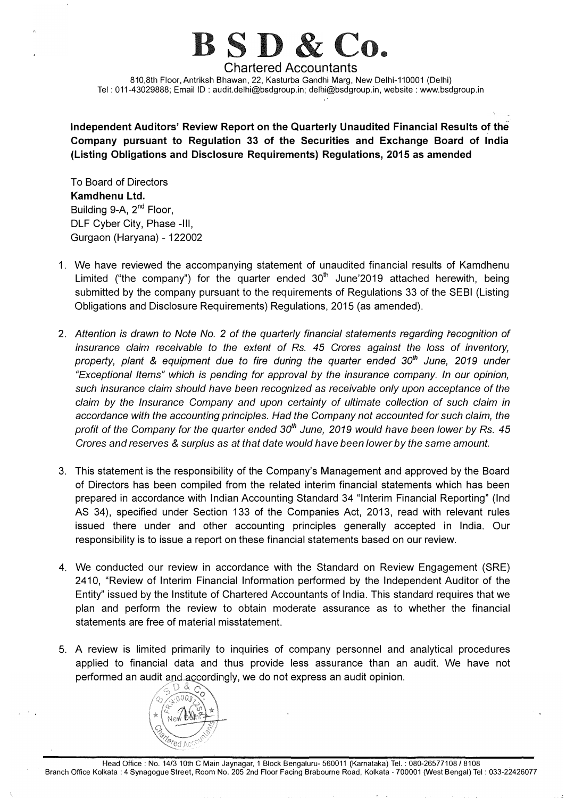# $B S D \&$

**Chartered Accountants**  810,8th Floor, Antriksh Bhawan, 22, Kasturba Gandhi Marg, New Delhi-110001 (Delhi) Tel: 011-43029888; Email ID: audit.delhi@bsdgroup.in; delhi@bsdgroup.in, website: www.bsdgroup.in

**Independent Auditors' Review Report on the Quarterly Unaudited Financial Results of the Company pursuant to Regulation 33 of the Securities and Exchange Board of India (Listing Obligations and Disclosure Requirements) Regulations, 2015 as amended** 

To Board of Directors **Kamdhenu Ltd.**  Building 9-A, 2<sup>nd</sup> Floor, DLF Cyber City, Phase -Ill, Gurgaon (Haryana) - 122002

- 1. We have reviewed the accompanying statement of unaudited financial results of Kamdhenu Limited ("the company") for the quarter ended  $30<sup>th</sup>$  June'2019 attached herewith, being submitted by the company pursuant to the requirements of Regulations 33 of the SEBI (Listing Obligations and Disclosure Requirements) Regulations, 2015 (as amended).
- 2. *Attention is drawn to Note No. 2 of the quarterly financial statements regarding recognition of insurance claim receivable to the extent of Rs. 45 Crores against the loss of inventory, property, plant* & *equipment due to fire during the quarter ended 30th June, 2019 under "Exceptional Items" which is pending for approval by the insurance company. In our opinion, such insurance claim should have been recognized as receivable only upon acceptance of the claim by the Insurance Company and upon certainty of ultimate collection of such claim in accordance with the accounting principles. Had the Company not accounted for such claim, the profit of the Company for the quarter ended 30th June, 2019 would have been lower by Rs. 45 Crores and reserves* & *surplus as at that date would have been lower by the same amount.*
- 3. This statement is the responsibility of the Company's Management and approved by the Board of Directors has been compiled from the related interim financial statements which has been prepared in accordance with Indian Accounting Standard 34 "Interim Financial Reporting" (Ind AS 34), specified under Section 133 of the Companies Act, 2013, read with relevant rules issued there under and other accounting principles generally accepted in India. Our responsibility is to issue a report on these financial statements based on our review.
- 4. We conducted our review in accordance with the Standard on Review Engagement (SRE) 2410, "Review of Interim Financial Information performed by the Independent Auditor of the Entity" issued by the Institute of Chartered Accountants of India. This standard requires that we plan and perform the review to obtain moderate assurance as to whether the financial statements are free of material misstatement.
- 5. A review is limited primarily to inquiries of company personnel and analytical procedures applied to financial data and thus provide less assurance than an audit. We have not performed an audit and accordingly, we do not express an audit opinion.

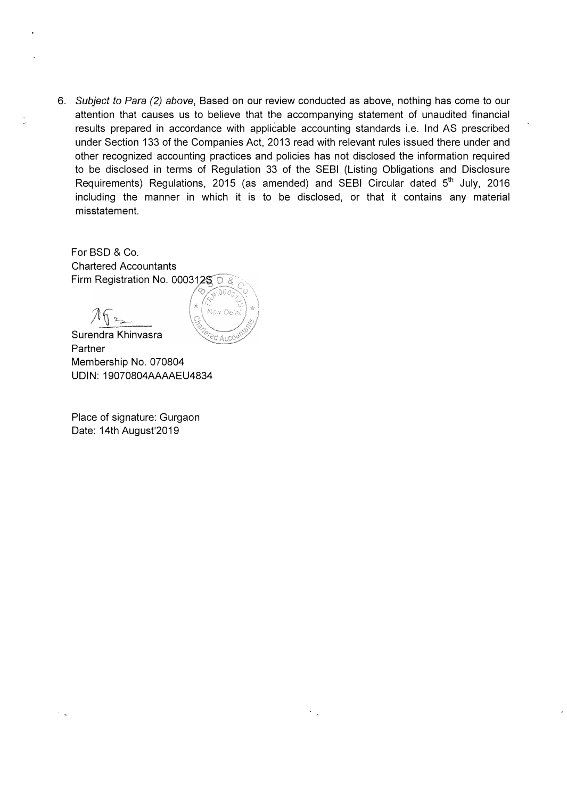6. *Subject to Para (2) above,* Based on our review conducted as above, nothing has come to our attention that causes us to believe that the accompanying statement of unaudited financial results prepared in accordance with applicable accounting standards i.e. Ind AS prescribed under Section 133 of the Companies Act, 2013 read with relevant rules issued there under and other recognized accounting practices and policies has not disclosed the information required to be disclosed in terms of Regulation 33 of the SEBI (Listing Obligations and Disclosure Requirements) Regulations, 2015 (as amended) and SEBI Circular dated 5<sup>th</sup> July, 2016 including the manner in which it is to be disclosed, or that it contains any material misstatement.

For BSD & Co. Chartered Accountants Firm Registration No. 0003125 D &

D,



Surendra Khinvasra **Partner** Membership No. 070804 UDIN: 19070804AAAAEU4834

Place of signature: Gurgaon Date: 14th August'2019